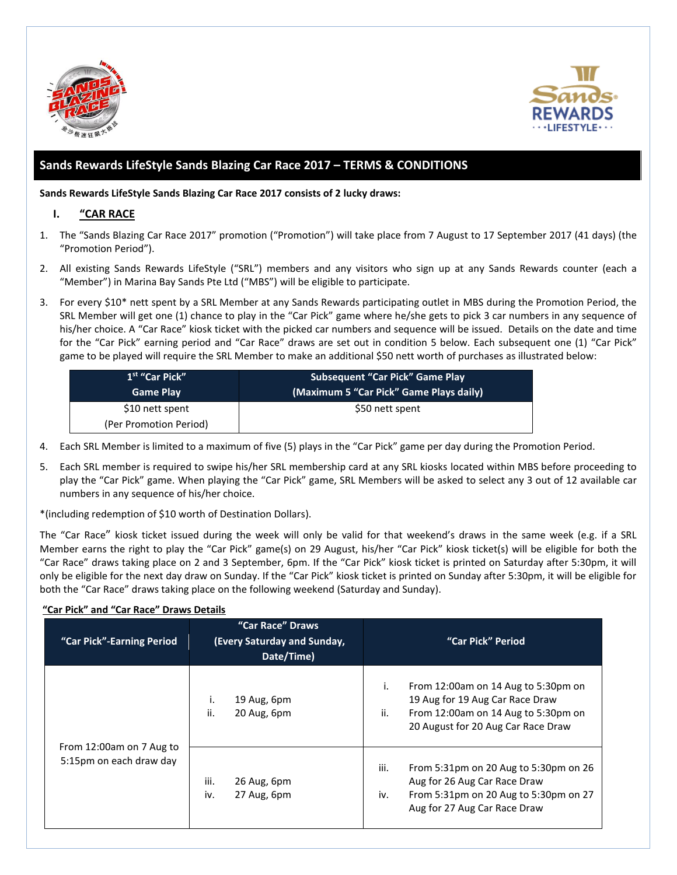



# **Sands Rewards LifeStyle Sands Blazing Car Race 2017 – TERMS & CONDITIONS**

**Sands Rewards LifeStyle Sands Blazing Car Race 2017 consists of 2 lucky draws:**

### **I. "CAR RACE**

- 1. The "Sands Blazing Car Race 2017" promotion ("Promotion") will take place from 7 August to 17 September 2017 (41 days) (the "Promotion Period").
- 2. All existing Sands Rewards LifeStyle ("SRL") members and any visitors who sign up at any Sands Rewards counter (each a "Member") in Marina Bay Sands Pte Ltd ("MBS") will be eligible to participate.
- 3. For every \$10\* nett spent by a SRL Member at any Sands Rewards participating outlet in MBS during the Promotion Period, the SRL Member will get one (1) chance to play in the "Car Pick" game where he/she gets to pick 3 car numbers in any sequence of his/her choice. A "Car Race" kiosk ticket with the picked car numbers and sequence will be issued. Details on the date and time for the "Car Pick" earning period and "Car Race" draws are set out in condition 5 below. Each subsequent one (1) "Car Pick" game to be played will require the SRL Member to make an additional \$50 nett worth of purchases as illustrated below:

| 1 <sup>st</sup> "Car Pick"<br><b>Game Play</b> | <b>Subsequent "Car Pick" Game Play</b><br>(Maximum 5 "Car Pick" Game Plays daily) |  |
|------------------------------------------------|-----------------------------------------------------------------------------------|--|
| \$10 nett spent                                | \$50 nett spent                                                                   |  |
| (Per Promotion Period)                         |                                                                                   |  |

- 4. Each SRL Member is limited to a maximum of five (5) plays in the "Car Pick" game per day during the Promotion Period.
- 5. Each SRL member is required to swipe his/her SRL membership card at any SRL kiosks located within MBS before proceeding to play the "Car Pick" game. When playing the "Car Pick" game, SRL Members will be asked to select any 3 out of 12 available car numbers in any sequence of his/her choice.

\*(including redemption of \$10 worth of Destination Dollars).

The "Car Race" kiosk ticket issued during the week will only be valid for that weekend's draws in the same week (e.g. if a SRL Member earns the right to play the "Car Pick" game(s) on 29 August, his/her "Car Pick" kiosk ticket(s) will be eligible for both the "Car Race" draws taking place on 2 and 3 September, 6pm. If the "Car Pick" kiosk ticket is printed on Saturday after 5:30pm, it will only be eligible for the next day draw on Sunday. If the "Car Pick" kiosk ticket is printed on Sunday after 5:30pm, it will be eligible for both the "Car Race" draws taking place on the following weekend (Saturday and Sunday).

## **"Car Pick" and "Car Race" Draws Details**

| "Car Pick"-Earning Period                           | "Car Race" Draws<br>(Every Saturday and Sunday,<br>Date/Time) | "Car Pick" Period                                                                                                                                                |
|-----------------------------------------------------|---------------------------------------------------------------|------------------------------------------------------------------------------------------------------------------------------------------------------------------|
|                                                     | i.<br>19 Aug, 6pm<br>ii.<br>20 Aug, 6pm                       | From 12:00am on 14 Aug to 5:30pm on<br>i.<br>19 Aug for 19 Aug Car Race Draw<br>ii.<br>From 12:00am on 14 Aug to 5:30pm on<br>20 August for 20 Aug Car Race Draw |
| From 12:00am on 7 Aug to<br>5:15pm on each draw day | iii.<br>26 Aug, 6pm<br>27 Aug, 6pm<br>iv.                     | iii.<br>From 5:31pm on 20 Aug to 5:30pm on 26<br>Aug for 26 Aug Car Race Draw<br>From 5:31pm on 20 Aug to 5:30pm on 27<br>iv.<br>Aug for 27 Aug Car Race Draw    |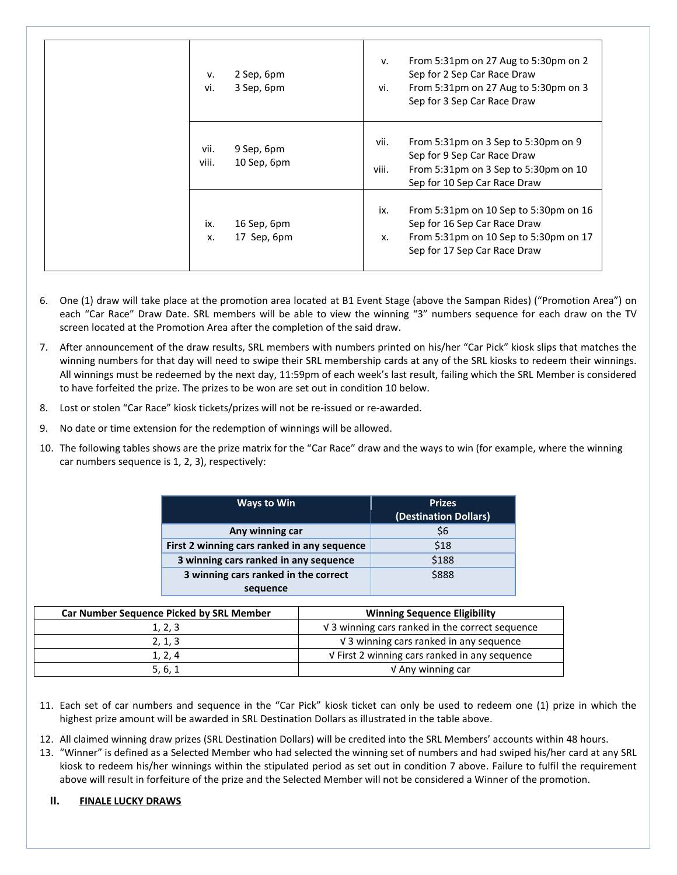| v.<br>vi.     | 2 Sep, 6pm<br>3 Sep, 6pm   | v.<br>vi.     | From 5:31pm on 27 Aug to 5:30pm on 2<br>Sep for 2 Sep Car Race Draw<br>From 5:31pm on 27 Aug to 5:30pm on 3<br>Sep for 3 Sep Car Race Draw     |
|---------------|----------------------------|---------------|------------------------------------------------------------------------------------------------------------------------------------------------|
| vii.<br>viii. | 9 Sep, 6pm<br>10 Sep, 6pm  | vii.<br>viii. | From 5:31pm on 3 Sep to 5:30pm on 9<br>Sep for 9 Sep Car Race Draw<br>From 5:31pm on 3 Sep to 5:30pm on 10<br>Sep for 10 Sep Car Race Draw     |
| ix.<br>X.     | 16 Sep, 6pm<br>17 Sep, 6pm | ix.<br>X.     | From 5:31pm on 10 Sep to 5:30pm on 16<br>Sep for 16 Sep Car Race Draw<br>From 5:31pm on 10 Sep to 5:30pm on 17<br>Sep for 17 Sep Car Race Draw |

- 6. One (1) draw will take place at the promotion area located at B1 Event Stage (above the Sampan Rides) ("Promotion Area") on each "Car Race" Draw Date. SRL members will be able to view the winning "3" numbers sequence for each draw on the TV screen located at the Promotion Area after the completion of the said draw.
- 7. After announcement of the draw results, SRL members with numbers printed on his/her "Car Pick" kiosk slips that matches the winning numbers for that day will need to swipe their SRL membership cards at any of the SRL kiosks to redeem their winnings. All winnings must be redeemed by the next day, 11:59pm of each week's last result, failing which the SRL Member is considered to have forfeited the prize. The prizes to be won are set out in condition 10 below.
- 8. Lost or stolen "Car Race" kiosk tickets/prizes will not be re-issued or re-awarded.
- 9. No date or time extension for the redemption of winnings will be allowed.
- 10. The following tables shows are the prize matrix for the "Car Race" draw and the ways to win (for example, where the winning car numbers sequence is 1, 2, 3), respectively:

| Ways to Win                                 | <b>Prizes</b><br>(Destination Dollars) |
|---------------------------------------------|----------------------------------------|
| Any winning car                             | \$6                                    |
| First 2 winning cars ranked in any sequence | \$18                                   |
| 3 winning cars ranked in any sequence       | \$188                                  |
| 3 winning cars ranked in the correct        | \$888                                  |
| sequence                                    |                                        |

| Car Number Sequence Picked by SRL Member | <b>Winning Sequence Eligibility</b>             |
|------------------------------------------|-------------------------------------------------|
| 1, 2, 3                                  | V 3 winning cars ranked in the correct sequence |
| 2, 1, 3                                  | V 3 winning cars ranked in any sequence         |
| 1, 2, 4                                  | V First 2 winning cars ranked in any sequence   |
| 5, 6, 1                                  | V Any winning car                               |

- 11. Each set of car numbers and sequence in the "Car Pick" kiosk ticket can only be used to redeem one (1) prize in which the highest prize amount will be awarded in SRL Destination Dollars as illustrated in the table above.
- 12. All claimed winning draw prizes (SRL Destination Dollars) will be credited into the SRL Members' accounts within 48 hours.
- 13. "Winner" is defined as a Selected Member who had selected the winning set of numbers and had swiped his/her card at any SRL kiosk to redeem his/her winnings within the stipulated period as set out in condition 7 above. Failure to fulfil the requirement above will result in forfeiture of the prize and the Selected Member will not be considered a Winner of the promotion.

## **II. FINALE LUCKY DRAWS**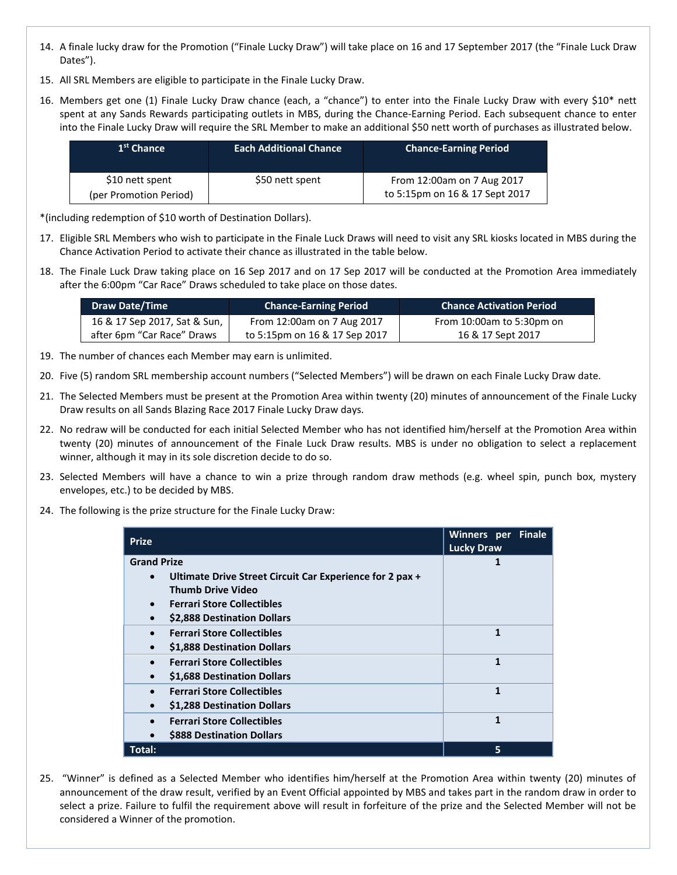- 14. A finale lucky draw for the Promotion ("Finale Lucky Draw") will take place on 16 and 17 September 2017 (the "Finale Luck Draw Dates").
- 15. All SRL Members are eligible to participate in the Finale Lucky Draw.
- 16. Members get one (1) Finale Lucky Draw chance (each, a "chance") to enter into the Finale Lucky Draw with every \$10\* nett spent at any Sands Rewards participating outlets in MBS, during the Chance-Earning Period. Each subsequent chance to enter into the Finale Lucky Draw will require the SRL Member to make an additional \$50 nett worth of purchases as illustrated below.

| 1 <sup>st</sup> Chance | <b>Each Additional Chance</b> | <b>Chance-Earning Period</b>   |
|------------------------|-------------------------------|--------------------------------|
| \$10 nett spent        | \$50 nett spent               | From 12:00am on 7 Aug 2017     |
| (per Promotion Period) |                               | to 5:15pm on 16 & 17 Sept 2017 |

\*(including redemption of \$10 worth of Destination Dollars).

- 17. Eligible SRL Members who wish to participate in the Finale Luck Draws will need to visit any SRL kiosks located in MBS during the Chance Activation Period to activate their chance as illustrated in the table below.
- 18. The Finale Luck Draw taking place on 16 Sep 2017 and on 17 Sep 2017 will be conducted at the Promotion Area immediately after the 6:00pm "Car Race" Draws scheduled to take place on those dates.

| <b>Draw Date/Time</b>        | <b>Chance-Earning Period</b>  | <b>Chance Activation Period</b> |
|------------------------------|-------------------------------|---------------------------------|
| 16 & 17 Sep 2017, Sat & Sun, | From 12:00am on 7 Aug 2017    | From 10:00am to 5:30pm on       |
| after 6pm "Car Race" Draws   | to 5:15pm on 16 & 17 Sep 2017 | 16 & 17 Sept 2017               |

- 19. The number of chances each Member may earn is unlimited.
- 20. Five (5) random SRL membership account numbers ("Selected Members") will be drawn on each Finale Lucky Draw date.
- 21. The Selected Members must be present at the Promotion Area within twenty (20) minutes of announcement of the Finale Lucky Draw results on all Sands Blazing Race 2017 Finale Lucky Draw days.
- 22. No redraw will be conducted for each initial Selected Member who has not identified him/herself at the Promotion Area within twenty (20) minutes of announcement of the Finale Luck Draw results. MBS is under no obligation to select a replacement winner, although it may in its sole discretion decide to do so.
- 23. Selected Members will have a chance to win a prize through random draw methods (e.g. wheel spin, punch box, mystery envelopes, etc.) to be decided by MBS.
- 24. The following is the prize structure for the Finale Lucky Draw:

| <b>Prize</b>                                                                                                            | Winners per Finale<br><b>Lucky Draw</b> |
|-------------------------------------------------------------------------------------------------------------------------|-----------------------------------------|
| <b>Grand Prize</b><br>Ultimate Drive Street Circuit Car Experience for 2 pax +<br>$\bullet$<br><b>Thumb Drive Video</b> | 1                                       |
| <b>Ferrari Store Collectibles</b><br>\$2,888 Destination Dollars<br>$\bullet$                                           |                                         |
| <b>Ferrari Store Collectibles</b><br>$\bullet$<br>\$1,888 Destination Dollars                                           | 1                                       |
| <b>Ferrari Store Collectibles</b><br>$\bullet$<br>\$1,688 Destination Dollars                                           | 1                                       |
| <b>Ferrari Store Collectibles</b><br>\$1,288 Destination Dollars                                                        | 1                                       |
| <b>Ferrari Store Collectibles</b><br>\$888 Destination Dollars                                                          | $\mathbf{1}$                            |
| Total:                                                                                                                  | 5                                       |

25. "Winner" is defined as a Selected Member who identifies him/herself at the Promotion Area within twenty (20) minutes of announcement of the draw result, verified by an Event Official appointed by MBS and takes part in the random draw in order to select a prize. Failure to fulfil the requirement above will result in forfeiture of the prize and the Selected Member will not be considered a Winner of the promotion.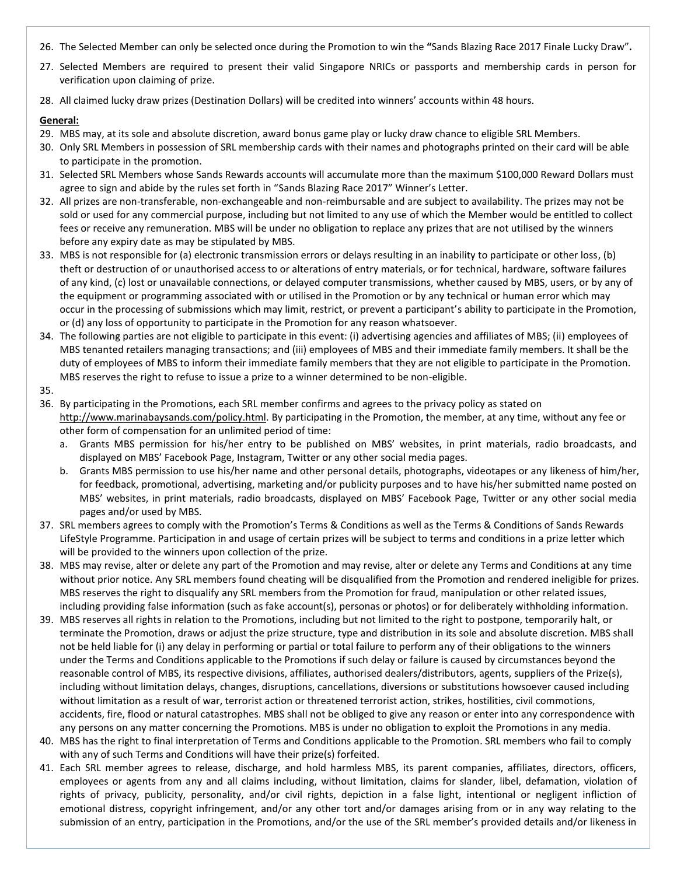- 26. The Selected Member can only be selected once during the Promotion to win the **"**Sands Blazing Race 2017 Finale Lucky Draw"**.**
- 27. Selected Members are required to present their valid Singapore NRICs or passports and membership cards in person for verification upon claiming of prize.
- 28. All claimed lucky draw prizes (Destination Dollars) will be credited into winners' accounts within 48 hours.

#### **General:**

- 29. MBS may, at its sole and absolute discretion, award bonus game play or lucky draw chance to eligible SRL Members.
- 30. Only SRL Members in possession of SRL membership cards with their names and photographs printed on their card will be able to participate in the promotion.
- 31. Selected SRL Members whose Sands Rewards accounts will accumulate more than the maximum \$100,000 Reward Dollars must agree to sign and abide by the rules set forth in "Sands Blazing Race 2017" Winner's Letter.
- 32. All prizes are non-transferable, non-exchangeable and non-reimbursable and are subject to availability. The prizes may not be sold or used for any commercial purpose, including but not limited to any use of which the Member would be entitled to collect fees or receive any remuneration. MBS will be under no obligation to replace any prizes that are not utilised by the winners before any expiry date as may be stipulated by MBS.
- 33. MBS is not responsible for (a) electronic transmission errors or delays resulting in an inability to participate or other loss, (b) theft or destruction of or unauthorised access to or alterations of entry materials, or for technical, hardware, software failures of any kind, (c) lost or unavailable connections, or delayed computer transmissions, whether caused by MBS, users, or by any of the equipment or programming associated with or utilised in the Promotion or by any technical or human error which may occur in the processing of submissions which may limit, restrict, or prevent a participant's ability to participate in the Promotion, or (d) any loss of opportunity to participate in the Promotion for any reason whatsoever.
- 34. The following parties are not eligible to participate in this event: (i) advertising agencies and affiliates of MBS; (ii) employees of MBS tenanted retailers managing transactions; and (iii) employees of MBS and their immediate family members. It shall be the duty of employees of MBS to inform their immediate family members that they are not eligible to participate in the Promotion. MBS reserves the right to refuse to issue a prize to a winner determined to be non-eligible.

#### 35.

- 36. By participating in the Promotions, each SRL member confirms and agrees to the privacy policy as stated on http://www.marinabaysands.com/policy.html. By participating in the Promotion, the member, at any time, without any fee or other form of compensation for an unlimited period of time:
	- a. Grants MBS permission for his/her entry to be published on MBS' websites, in print materials, radio broadcasts, and displayed on MBS' Facebook Page, Instagram, Twitter or any other social media pages.
	- b. Grants MBS permission to use his/her name and other personal details, photographs, videotapes or any likeness of him/her, for feedback, promotional, advertising, marketing and/or publicity purposes and to have his/her submitted name posted on MBS' websites, in print materials, radio broadcasts, displayed on MBS' Facebook Page, Twitter or any other social media pages and/or used by MBS.
- 37. SRL members agrees to comply with the Promotion's Terms & Conditions as well as the Terms & Conditions of Sands Rewards LifeStyle Programme. Participation in and usage of certain prizes will be subject to terms and conditions in a prize letter which will be provided to the winners upon collection of the prize.
- 38. MBS may revise, alter or delete any part of the Promotion and may revise, alter or delete any Terms and Conditions at any time without prior notice. Any SRL members found cheating will be disqualified from the Promotion and rendered ineligible for prizes. MBS reserves the right to disqualify any SRL members from the Promotion for fraud, manipulation or other related issues, including providing false information (such as fake account(s), personas or photos) or for deliberately withholding information.
- 39. MBS reserves all rights in relation to the Promotions, including but not limited to the right to postpone, temporarily halt, or terminate the Promotion, draws or adjust the prize structure, type and distribution in its sole and absolute discretion. MBS shall not be held liable for (i) any delay in performing or partial or total failure to perform any of their obligations to the winners under the Terms and Conditions applicable to the Promotions if such delay or failure is caused by circumstances beyond the reasonable control of MBS, its respective divisions, affiliates, authorised dealers/distributors, agents, suppliers of the Prize(s), including without limitation delays, changes, disruptions, cancellations, diversions or substitutions howsoever caused including without limitation as a result of war, terrorist action or threatened terrorist action, strikes, hostilities, civil commotions, accidents, fire, flood or natural catastrophes. MBS shall not be obliged to give any reason or enter into any correspondence with any persons on any matter concerning the Promotions. MBS is under no obligation to exploit the Promotions in any media.
- 40. MBS has the right to final interpretation of Terms and Conditions applicable to the Promotion. SRL members who fail to comply with any of such Terms and Conditions will have their prize(s) forfeited.
- 41. Each SRL member agrees to release, discharge, and hold harmless MBS, its parent companies, affiliates, directors, officers, employees or agents from any and all claims including, without limitation, claims for slander, libel, defamation, violation of rights of privacy, publicity, personality, and/or civil rights, depiction in a false light, intentional or negligent infliction of emotional distress, copyright infringement, and/or any other tort and/or damages arising from or in any way relating to the submission of an entry, participation in the Promotions, and/or the use of the SRL member's provided details and/or likeness in